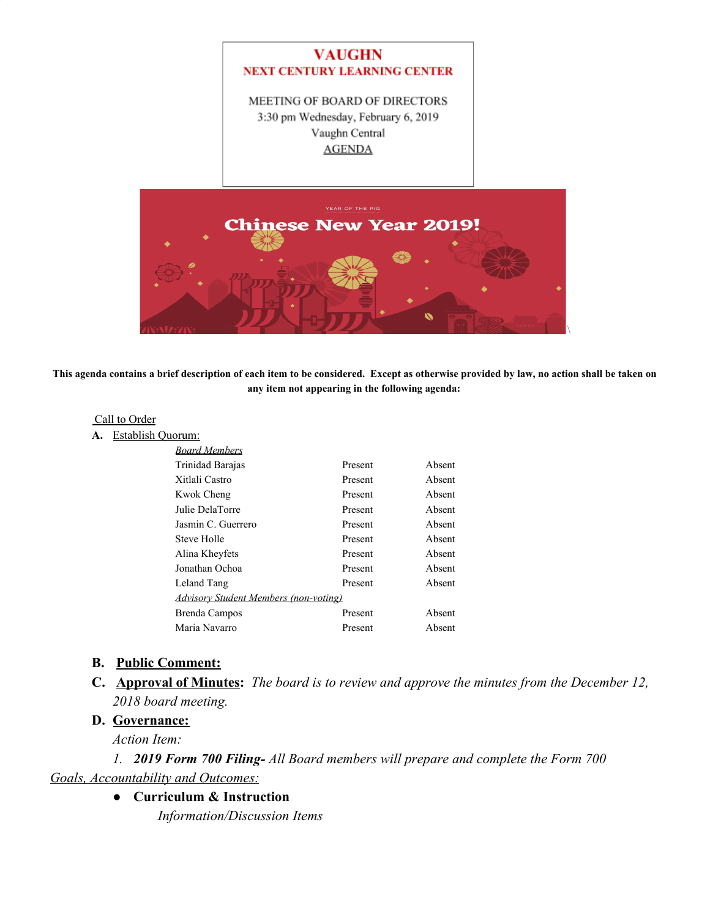

MEETING OF BOARD OF DIRECTORS 3:30 pm Wednesday, February 6, 2019 Vaughn Central **AGENDA** 



**This agenda contains a brief description of each item to be considered. Except as otherwise provided by law, no action shall be taken on any item not appearing in the following agenda:**

### Call to Order

**A.** Establish Quorum:

| <b>Board Members</b>                         |         |        |
|----------------------------------------------|---------|--------|
| Trinidad Barajas                             | Present | Absent |
| Xitlali Castro                               | Present | Absent |
| Kwok Cheng                                   | Present | Absent |
| Julie DelaTorre                              | Present | Absent |
| Jasmin C. Guerrero                           | Present | Absent |
| Steve Holle                                  | Present | Absent |
| Alina Kheyfets                               | Present | Absent |
| Jonathan Ochoa                               | Present | Absent |
| Leland Tang                                  | Present | Absent |
| <b>Advisory Student Members (non-voting)</b> |         |        |
| Brenda Campos                                | Present | Absent |
| Maria Navarro                                | Present | Absent |
|                                              |         |        |

#### **B. Public Comment:**

**C. Approval of Minutes:** *The board is to review and approve the minutes from the December 12, 2018 board meeting.*

### **D. Governance:**

*Action Item:*

*1. 2019 Form 700 Filing- All Board members will prepare and complete the Form 700 Goals, Accountability and Outcomes:*

**● Curriculum & Instruction**

*Information/Discussion Items*